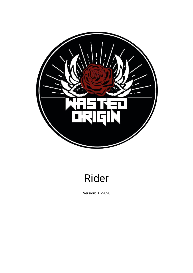

# Rider

Version: 01/2020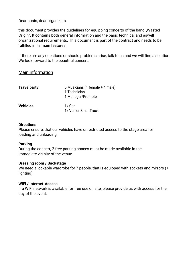Dear hosts, dear organizers,

this document provides the guidelines for equipping concerts of the band "Wasted Origin". It contains both general information and the basic technical and aswell organizational requirements. This document is part of the contract and needs to be fulfilled in its main features.

If there are any questions or should problems arise, talk to us and we will find a solution. We look forward to the beautiful concert.

## Main information

| <b>Travelparty</b> | 5 Musicians (1 female + 4 male)<br>1 Technician |  |
|--------------------|-------------------------------------------------|--|
|                    | 1 Manager/Promoter                              |  |
| <b>Vehicles</b>    | 1x Car                                          |  |
|                    | 1x Van or Small Truck                           |  |

#### **Directions**

Please ensure, that our vehicles have unrestricted access to the stage area for loading and unloading.

## **Parking**

During the concert, 2 free parking spaces must be made available in the immediate vicinity of the venue.

## **Dressing room / Backstage**

We need a lockable wardrobe for 7 people, that is equipped with sockets and mirrors (+ lighting).

## **WiFi / Internet-Access**

If a WiFi network is available for free use on site, please provide us with access for the day of the event.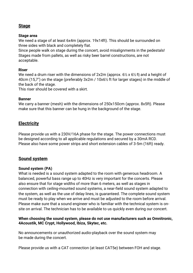## **Stage**

## **Stage area**

We need a stage of at least 6x4m (approx. 19x14ft). This should be surrounded on three sides with black and completely flat.

Since people walk on stage during the concert, avoid misalignments in the pedestals! Stages made from pallets, as well as risky beer barrel constructions, are not acceptable.

## **Riser**

We need a drum riser with the dimensions of  $2x2m$  (approx.  $6\frac{1}{2}x$  6 $\frac{1}{2}$  ft) and a height of 40cm (15,7") on the stage (preferably 3x2m / 10x6½ ft for larger stages) in the middle of the back of the stage.

This riser should be covered with a skirt.

## **Banner**

We carry a banner (mesh) with the dimensions of 250x150cm (approx. 8x5ft). Please make sure that this banner can be hung in the background of the stage.

# **Electricity**

Please provide us with a 230V/16A phase for the stage. The power connections must be designed according to all applicable regulations and secured by a 30mA RCD. Please also have some power strips and short extension cables of 3-5m (16ft) ready.

# **Sound system**

## **Sound system (PA)**

What is needed is a sound system adapted to the room with generous headroom. A balanced, powerful bass range up to 40Hz is very important for the concerts. Please also ensure that for stage widths of more than 6 meters, as well as stages in connection with ceiling-mounted sound systems, a near-field sound system adapted to the system, as well as the use of delay lines, is guaranteed. The complete sound system must be ready to play when we arrive and must be adjusted to the room before arrival. Please make sure that a sound engineer who is familiar with the technical system is onsite on arrival. The technician has to be available to us quickly even during our concert.

## **When choosing the sound system, please do not use manufacturers such as Omnitronic, 4Acoustik, MC Crypt, Hollywood, Ibiza, Skytec, etc.**

No announcements or unauthorized audio-playback over the sound system may be made during the concert.

Please provide us with a CAT connection (at least CAT5e) between FOH and stage.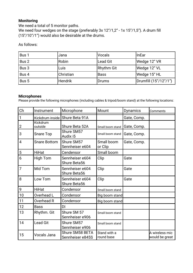## **Monitoring**

We need a total of 5 monitor paths. We need four wedges on the stage (preferably 3x 12"/1,2" - 1x 15"/1,5"). A drum fill (15"/10"/1") would also be desirable at the drums.

As follows:

| Bus 1 | Jana           | Vocals            | <b>InEar</b>          |
|-------|----------------|-------------------|-----------------------|
| Bus 2 | Robin          | <b>Lead Git</b>   | Wedge 12" VR          |
| Bus 3 | Luis           | <b>Rhythm Git</b> | Wedge 12" VL          |
| Bus 4 | Christian      | <b>Bass</b>       | Wedge 15" HL          |
| Bus 5 | <b>Hendrik</b> | Drums             | Drumfill (15"/12"/1") |

#### **Microphones**

Please provide the following microphones (including cables & tripod/boom stand) at the following locations:

| Ch             | Instrument          | Microphone                          | Mount                      | <b>Dynamics</b> | Comments                         |
|----------------|---------------------|-------------------------------------|----------------------------|-----------------|----------------------------------|
| $\mathbf{1}$   | Kickdrum inside     | Shure Beta 91A                      |                            | Gate, Comp.     |                                  |
| $\overline{2}$ | Kickdrum<br>outside | Shure Beta 52A                      | Small boom stand           | Gate, Comp.     |                                  |
| 3              | Snare Top           | Shure SM57<br>Audix i5              | Small boom stand           | Gate, Comp.     |                                  |
| $\overline{4}$ | <b>Snare Bottom</b> | Shure SM57<br>Sennheiser e604       | Small boom<br>or Clip      | Gate, Comp.     |                                  |
| 5              | <b>HiHat</b>        | Cendensor                           | Small boom                 |                 |                                  |
| 6              | High Tom            | Sennheiser e604<br>Shure Beta56     | Clip                       | Gate            |                                  |
| 7              | Mid Tom             | Sennheiser e604<br>Shure Beta56     | Clip                       | Gate            |                                  |
| 8              | Low Tom             | Sennheiser e604<br>Shure Beta56     | Clip                       | Gate            |                                  |
| 9              | <b>HiHat</b>        | Condensor                           | Small boom stand           |                 |                                  |
| 10             | Overhead L          | Condensor                           | Big boom stand             |                 |                                  |
| 11             | Overhead R          | Condensor                           | Big boom stand             |                 |                                  |
| 12             | <b>Bass</b>         | DI                                  |                            |                 |                                  |
| 13             | Rhythm. Git         | Shure SM 57<br>Sennheiser e906      | Small boom stand           |                 |                                  |
| 14             | <b>Lead Git</b>     | Shure SM57<br>Sennheiser e906       | Small boom stand           |                 |                                  |
| 15             | Vocals Jana         | Shure SM58 BETA<br>Sennheiser e845S | Stand with a<br>round base |                 | A wireless mic<br>would be great |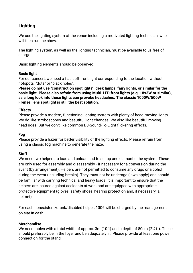# **Lighting**

We use the lighting system of the venue including a motivated lighting technician, who will then run the show.

The lighting system, as well as the lighting technician, must be available to us free of charge.

Basic lighting elements should be observed:

## **Basic light**

For our concert, we need a flat, soft front light corresponding to the location without hotspots, "dots" or "black holes".

**Please do not use "construction spotlights", desk lamps, fairy lights, or similar for the basic light. Please also refrain from using Multi-LED front lights (e.g. 18x3W or similar), as a long look into these lights can provoke headaches. The classic 1000W/500W Frensel lens spotlight is still the best solution.**

## **Effects**

Please provide a modern, functioning lighting system with plenty of head-moving lights. We do like stroboscopes and beautiful light changes. We also like beautiful moving head rides. But we don't like common DJ-Sound-To-Light flickering effects.

## **Fog**

Please provide a hazer for better visibility of the lighting effects. Please refrain from using a classic fog machine to generate the haze.

## **Staff**

We need two helpers to load and unload and to set up and dismantle the system. These are only used for assembly and disassembly - if necessary for a conversion during the event (by arrangement). Helpers are not permitted to consume any drugs or alcohol during the event (including breaks). They must not be underage (laws apply) and should be familiar with carrying technical and heavy loads. It is important to ensure that the helpers are insured against accidents at work and are equipped with appropriate protective equipment (gloves, safety shoes, hearing protection and, if necessary, a helmet).

For each nonexistent/drunk/disabled helper, 100€ will be charged by the management on site in cash.

## **Merchandise**

We need tables with a total width of approx. 3m (10ft) and a depth of 80cm (2½ ft). These should preferably be in the foyer and be adequately lit. Please provide at least one power connection for the stand.